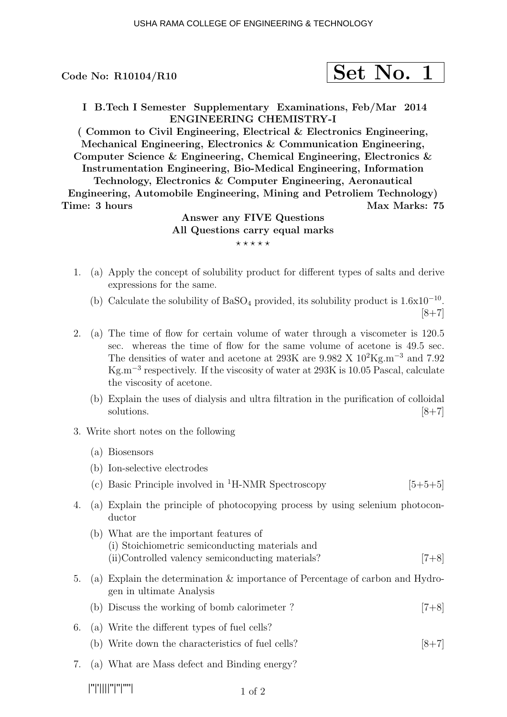Code No:  $R10104/R10$ 

|--|--|

I B.Tech I Semester Supplementary Examinations, Feb/Mar 2014 ENGINEERING CHEMISTRY-I

( Common to Civil Engineering, Electrical & Electronics Engineering, Mechanical Engineering, Electronics & Communication Engineering, Computer Science & Engineering, Chemical Engineering, Electronics & Instrumentation Engineering, Bio-Medical Engineering, Information

Technology, Electronics & Computer Engineering, Aeronautical Engineering, Automobile Engineering, Mining and Petroliem Technology) Time: 3 hours Max Marks: 75

# Answer any FIVE Questions All Questions carry equal marks  $***$ \*\*

- 1. (a) Apply the concept of solubility product for different types of salts and derive expressions for the same.
	- (b) Calculate the solubility of BaSO<sub>4</sub> provided, its solubility product is  $1.6x10^{-10}$ .  $[8+7]$
- 2. (a) The time of flow for certain volume of water through a viscometer is 120.5 sec. whereas the time of flow for the same volume of acetone is 49.5 sec. The densities of water and acetone at 293K are  $9.982 \text{ X } 10^2 \text{Kg} \cdot \text{m}^{-3}$  and  $7.92$ Kg.m<sup>−</sup><sup>3</sup> respectively. If the viscosity of water at 293K is 10.05 Pascal, calculate the viscosity of acetone.
	- (b) Explain the uses of dialysis and ultra filtration in the purification of colloidal solutions.  $[8+7]$
- 3. Write short notes on the following
	- (a) Biosensors
	- (b) Ion-selective electrodes
	- (c) Basic Principle involved in <sup>1</sup>H-NMR Spectroscopy [5+5+5]
- 4. (a) Explain the principle of photocopying process by using selenium photoconductor
	- (b) What are the important features of (i) Stoichiometric semiconducting materials and (ii)Controlled valency semiconducting materials? [7+8]
- 5. (a) Explain the determination & importance of Percentage of carbon and Hydrogen in ultimate Analysis
	- (b) Discuss the working of bomb calorimeter ? [7+8]
- 6. (a) Write the different types of fuel cells?
	- (b) Write down the characteristics of fuel cells?  $[8+7]$
- 7. (a) What are Mass defect and Binding energy?

|''|'||||''|''|''''|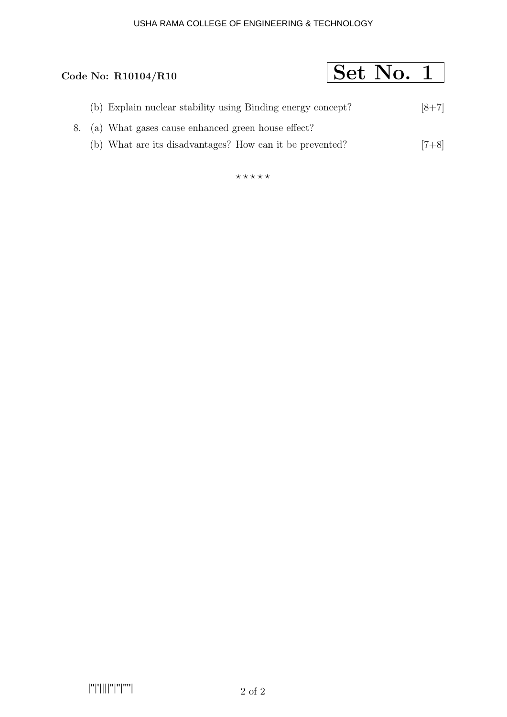# USHA RAMA COLLEGE OF ENGINEERING & TECHNOLOGY

# Code No: R10104/R10  $\boxed{\text{Set No. 1}}$

- (b) Explain nuclear stability using Binding energy concept? [8+7]
- 8. (a) What gases cause enhanced green house effect?
	- (b) What are its disadvantages? How can it be prevented? [7+8]

 $***$ \*\*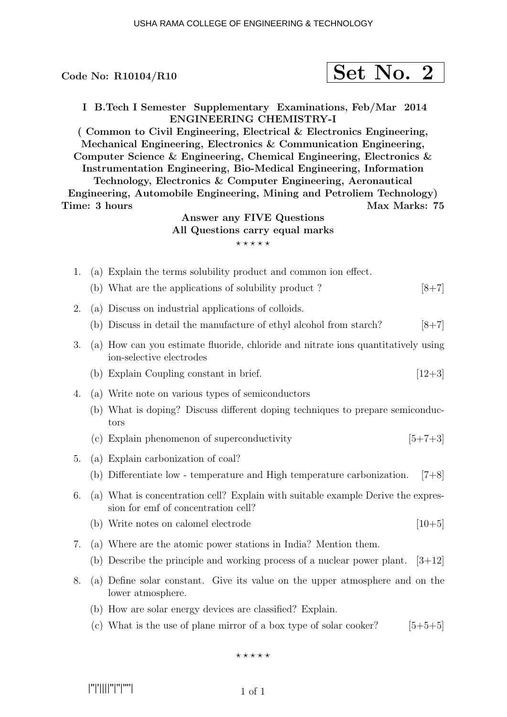| Code No: R10104/R10 | Set No. 2 |  |
|---------------------|-----------|--|
|                     |           |  |

I B.Tech I Semester Supplementary Examinations, Feb/Mar 2014 ENGINEERING CHEMISTRY-I

( Common to Civil Engineering, Electrical & Electronics Engineering, Mechanical Engineering, Electronics & Communication Engineering, Computer Science & Engineering, Chemical Engineering, Electronics & Instrumentation Engineering, Bio-Medical Engineering, Information

Technology, Electronics & Computer Engineering, Aeronautical Engineering, Automobile Engineering, Mining and Petroliem Technology) Time: 3 hours Max Marks: 75

# Answer any FIVE Questions All Questions carry equal marks  $***$ \*\*

- 1. (a) Explain the terms solubility product and common ion effect.
	- (b) What are the applications of solubility product ?  $[8+7]$
- 2. (a) Discuss on industrial applications of colloids.
	- (b) Discuss in detail the manufacture of ethyl alcohol from starch?  $[8+7]$
- 3. (a) How can you estimate fluoride, chloride and nitrate ions quantitatively using ion-selective electrodes
	- (b) Explain Coupling constant in brief.  $[12+3]$
- 4. (a) Write note on various types of semiconductors
	- (b) What is doping? Discuss different doping techniques to prepare semiconductors
	- (c) Explain phenomenon of superconductivity  $[5+7+3]$
- 5. (a) Explain carbonization of coal?
	- (b) Differentiate low temperature and High temperature carbonization. [7+8]
- 6. (a) What is concentration cell? Explain with suitable example Derive the expression for emf of concentration cell?
	- (b) Write notes on calomel electrode  $[10+5]$
- 7. (a) Where are the atomic power stations in India? Mention them.
	- (b) Describe the principle and working process of a nuclear power plant.  $[3+12]$
- 8. (a) Define solar constant. Give its value on the upper atmosphere and on the lower atmosphere.
	- (b) How are solar energy devices are classified? Explain.
	- (c) What is the use of plane mirror of a box type of solar cooker?  $[5+5+5]$

 $***$ \*\*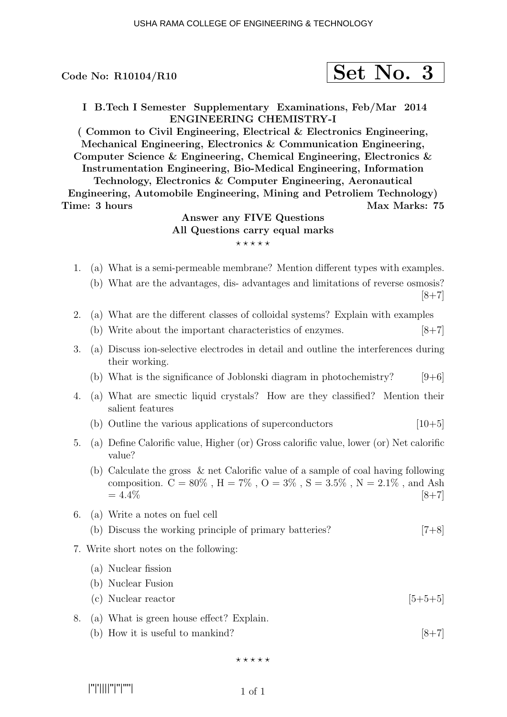### Code No:  $R10104/R10$

|--|--|--|

I B.Tech I Semester Supplementary Examinations, Feb/Mar 2014 ENGINEERING CHEMISTRY-I

( Common to Civil Engineering, Electrical & Electronics Engineering, Mechanical Engineering, Electronics & Communication Engineering, Computer Science & Engineering, Chemical Engineering, Electronics & Instrumentation Engineering, Bio-Medical Engineering, Information

Technology, Electronics & Computer Engineering, Aeronautical Engineering, Automobile Engineering, Mining and Petroliem Technology) Time: 3 hours Max Marks: 75

# Answer any FIVE Questions All Questions carry equal marks  $***$ \*\*

- 1. (a) What is a semi-permeable membrane? Mention different types with examples.
	- (b) What are the advantages, dis- advantages and limitations of reverse osmosis?  $[8+7]$
- 2. (a) What are the different classes of colloidal systems? Explain with examples
	- (b) Write about the important characteristics of enzymes.  $[8+7]$
- 3. (a) Discuss ion-selective electrodes in detail and outline the interferences during their working.
	- (b) What is the significance of Joblonski diagram in photochemistry?  $[9+6]$
- 4. (a) What are smectic liquid crystals? How are they classified? Mention their salient features
	- (b) Outline the various applications of superconductors  $[10+5]$
- 5. (a) Define Calorific value, Higher (or) Gross calorific value, lower (or) Net calorific value?
	- (b) Calculate the gross & net Calorific value of a sample of coal having following composition.  $C = 80\%$ ,  $H = 7\%$ ,  $O = 3\%$ ,  $S = 3.5\%$ ,  $N = 2.1\%$ , and Ash  $= 4.4\%$  [8+7]
- 6. (a) Write a notes on fuel cell
	- (b) Discuss the working principle of primary batteries? [7+8]
- 7. Write short notes on the following:

#### (a) Nuclear fission

- (b) Nuclear Fusion
- (c) Nuclear reactor  $[5+5+5]$
- 8. (a) What is green house effect? Explain.
	- (b) How it is useful to mankind?  $[8+7]$

 $***$ \*\*

|''|'||||''|''|''''|